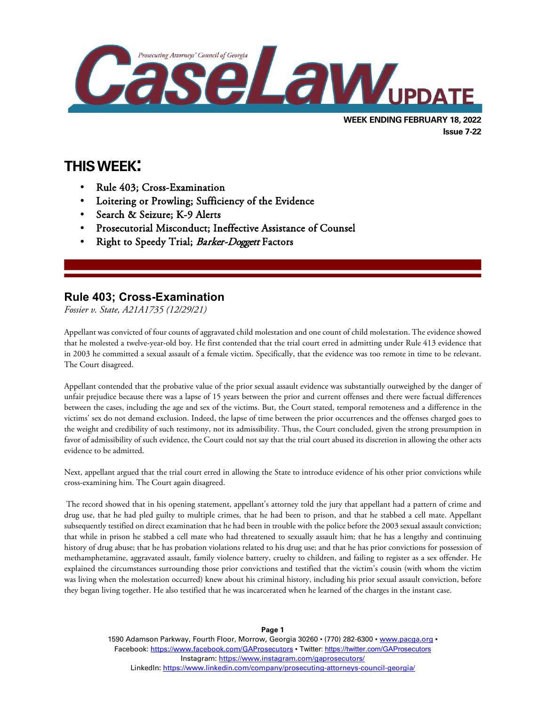

# **THIS WEEK:**

 $\overline{a}$ 

- Rule 403; Cross-Examination
- Loitering or Prowling; Sufficiency of the Evidence
- Search & Seizure; K-9 Alerts
- Prosecutorial Misconduct; Ineffective Assistance of Counsel
- Right to Speedy Trial; Barker-Doggett Factors

## **Rule 403; Cross-Examination**

*Fossier v. State, A21A1735 (12/29/21)*

Appellant was convicted of four counts of aggravated child molestation and one count of child molestation. The evidence showed that he molested a twelve-year-old boy. He first contended that the trial court erred in admitting under Rule 413 evidence that in 2003 he committed a sexual assault of a female victim. Specifically, that the evidence was too remote in time to be relevant. The Court disagreed.

Appellant contended that the probative value of the prior sexual assault evidence was substantially outweighed by the danger of unfair prejudice because there was a lapse of 15 years between the prior and current offenses and there were factual differences between the cases, including the age and sex of the victims. But, the Court stated, temporal remoteness and a difference in the victims' sex do not demand exclusion. Indeed, the lapse of time between the prior occurrences and the offenses charged goes to the weight and credibility of such testimony, not its admissibility. Thus, the Court concluded, given the strong presumption in favor of admissibility of such evidence, the Court could not say that the trial court abused its discretion in allowing the other acts evidence to be admitted.

Next, appellant argued that the trial court erred in allowing the State to introduce evidence of his other prior convictions while cross-examining him. The Court again disagreed.

The record showed that in his opening statement, appellant's attorney told the jury that appellant had a pattern of crime and drug use, that he had pled guilty to multiple crimes, that he had been to prison, and that he stabbed a cell mate. Appellant subsequently testified on direct examination that he had been in trouble with the police before the 2003 sexual assault conviction; that while in prison he stabbed a cell mate who had threatened to sexually assault him; that he has a lengthy and continuing history of drug abuse; that he has probation violations related to his drug use; and that he has prior convictions for possession of methamphetamine, aggravated assault, family violence battery, cruelty to children, and failing to register as a sex offender. He explained the circumstances surrounding those prior convictions and testified that the victim's cousin (with whom the victim was living when the molestation occurred) knew about his criminal history, including his prior sexual assault conviction, before they began living together. He also testified that he was incarcerated when he learned of the charges in the instant case.

> 1590 Adamson Parkway, Fourth Floor, Morrow, Georgia 30260 · (770) 282-6300 · [www.pacga.org](http://www.pacga.org/) · Facebook:<https://www.facebook.com/GAProsecutors> . Twitter[: https://twitter.com/GAProsecutors](https://twitter.com/GAProsecutors) Instagram[: https://www.instagram.com/gaprosecutors/](https://www.instagram.com/gaprosecutors/) LinkedIn:<https://www.linkedin.com/company/prosecuting-attorneys-council-georgia/>

**Page 1**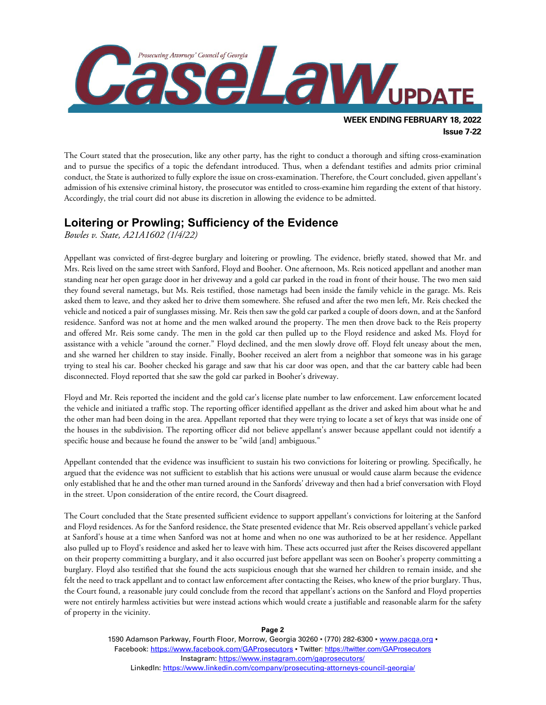

The Court stated that the prosecution, like any other party, has the right to conduct a thorough and sifting cross-examination and to pursue the specifics of a topic the defendant introduced. Thus, when a defendant testifies and admits prior criminal conduct, the State is authorized to fully explore the issue on cross-examination. Therefore, the Court concluded, given appellant's admission of his extensive criminal history, the prosecutor was entitled to cross-examine him regarding the extent of that history. Accordingly, the trial court did not abuse its discretion in allowing the evidence to be admitted.

### **Loitering or Prowling; Sufficiency of the Evidence**

*Bowles v. State, A21A1602 (1/4/22)*

Appellant was convicted of first-degree burglary and loitering or prowling. The evidence, briefly stated, showed that Mr. and Mrs. Reis lived on the same street with Sanford, Floyd and Booher. One afternoon, Ms. Reis noticed appellant and another man standing near her open garage door in her driveway and a gold car parked in the road in front of their house. The two men said they found several nametags, but Ms. Reis testified, those nametags had been inside the family vehicle in the garage. Ms. Reis asked them to leave, and they asked her to drive them somewhere. She refused and after the two men left, Mr. Reis checked the vehicle and noticed a pair of sunglasses missing. Mr. Reis then saw the gold car parked a couple of doors down, and at the Sanford residence. Sanford was not at home and the men walked around the property. The men then drove back to the Reis property and offered Mr. Reis some candy. The men in the gold car then pulled up to the Floyd residence and asked Ms. Floyd for assistance with a vehicle "around the corner." Floyd declined, and the men slowly drove off. Floyd felt uneasy about the men, and she warned her children to stay inside. Finally, Booher received an alert from a neighbor that someone was in his garage trying to steal his car. Booher checked his garage and saw that his car door was open, and that the car battery cable had been disconnected. Floyd reported that she saw the gold car parked in Booher's driveway.

Floyd and Mr. Reis reported the incident and the gold car's license plate number to law enforcement. Law enforcement located the vehicle and initiated a traffic stop. The reporting officer identified appellant as the driver and asked him about what he and the other man had been doing in the area. Appellant reported that they were trying to locate a set of keys that was inside one of the houses in the subdivision. The reporting officer did not believe appellant's answer because appellant could not identify a specific house and because he found the answer to be "wild [and] ambiguous."

Appellant contended that the evidence was insufficient to sustain his two convictions for loitering or prowling. Specifically, he argued that the evidence was not sufficient to establish that his actions were unusual or would cause alarm because the evidence only established that he and the other man turned around in the Sanfords' driveway and then had a brief conversation with Floyd in the street. Upon consideration of the entire record, the Court disagreed.

The Court concluded that the State presented sufficient evidence to support appellant's convictions for loitering at the Sanford and Floyd residences. As for the Sanford residence, the State presented evidence that Mr. Reis observed appellant's vehicle parked at Sanford's house at a time when Sanford was not at home and when no one was authorized to be at her residence. Appellant also pulled up to Floyd's residence and asked her to leave with him. These acts occurred just after the Reises discovered appellant on their property committing a burglary, and it also occurred just before appellant was seen on Booher's property committing a burglary. Floyd also testified that she found the acts suspicious enough that she warned her children to remain inside, and she felt the need to track appellant and to contact law enforcement after contacting the Reises, who knew of the prior burglary. Thus, the Court found, a reasonable jury could conclude from the record that appellant's actions on the Sanford and Floyd properties were not entirely harmless activities but were instead actions which would create a justifiable and reasonable alarm for the safety of property in the vicinity.

**Page 2**

1590 Adamson Parkway, Fourth Floor, Morrow, Georgia 30260 · (770) 282-6300 · [www.pacga.org](http://www.pacga.org/) · Facebook:<https://www.facebook.com/GAProsecutors> . Twitter[: https://twitter.com/GAProsecutors](https://twitter.com/GAProsecutors) Instagram[: https://www.instagram.com/gaprosecutors/](https://www.instagram.com/gaprosecutors/) LinkedIn:<https://www.linkedin.com/company/prosecuting-attorneys-council-georgia/>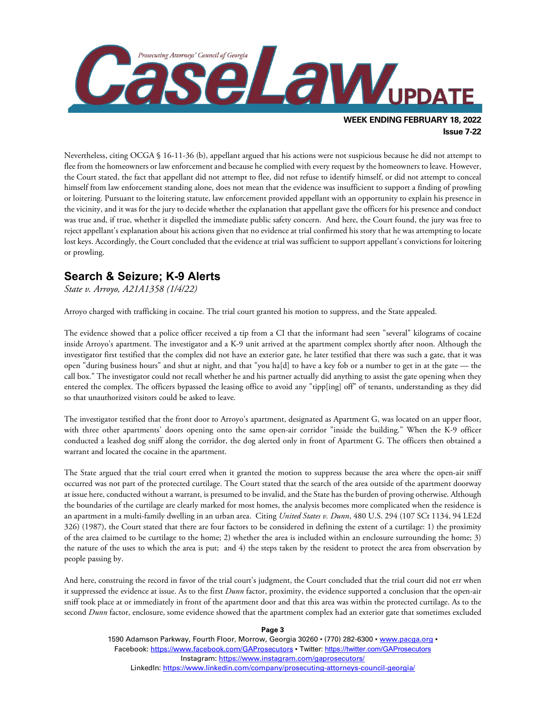

Nevertheless, citing OCGA § 16-11-36 (b), appellant argued that his actions were not suspicious because he did not attempt to flee from the homeowners or law enforcement and because he complied with every request by the homeowners to leave. However, the Court stated, the fact that appellant did not attempt to flee, did not refuse to identify himself, or did not attempt to conceal himself from law enforcement standing alone, does not mean that the evidence was insufficient to support a finding of prowling or loitering. Pursuant to the loitering statute, law enforcement provided appellant with an opportunity to explain his presence in the vicinity, and it was for the jury to decide whether the explanation that appellant gave the officers for his presence and conduct was true and, if true, whether it dispelled the immediate public safety concern. And here, the Court found, the jury was free to

reject appellant's explanation about his actions given that no evidence at trial confirmed his story that he was attempting to locate lost keys. Accordingly, the Court concluded that the evidence at trial was sufficient to support appellant's convictions for loitering or prowling.

# **Search & Seizure; K-9 Alerts**

*State v. Arroyo, A21A1358 (1/4/22)*

Arroyo charged with trafficking in cocaine. The trial court granted his motion to suppress, and the State appealed.

The evidence showed that a police officer received a tip from a CI that the informant had seen "several" kilograms of cocaine inside Arroyo's apartment. The investigator and a K-9 unit arrived at the apartment complex shortly after noon. Although the investigator first testified that the complex did not have an exterior gate, he later testified that there was such a gate, that it was open "during business hours" and shut at night, and that "you ha[d] to have a key fob or a number to get in at the gate — the call box." The investigator could not recall whether he and his partner actually did anything to assist the gate opening when they entered the complex. The officers bypassed the leasing office to avoid any "tipp[ing] off" of tenants, understanding as they did so that unauthorized visitors could be asked to leave.

The investigator testified that the front door to Arroyo's apartment, designated as Apartment G, was located on an upper floor, with three other apartments' doors opening onto the same open-air corridor "inside the building." When the K-9 officer conducted a leashed dog sniff along the corridor, the dog alerted only in front of Apartment G. The officers then obtained a warrant and located the cocaine in the apartment.

The State argued that the trial court erred when it granted the motion to suppress because the area where the open-air sniff occurred was not part of the protected curtilage. The Court stated that the search of the area outside of the apartment doorway at issue here, conducted without a warrant, is presumed to be invalid, and the State has the burden of proving otherwise. Although the boundaries of the curtilage are clearly marked for most homes, the analysis becomes more complicated when the residence is an apartment in a multi-family dwelling in an urban area. Citing *United States v. Dunn*, 480 U.S. 294 (107 SCt 1134, 94 LE2d 326) (1987), the Court stated that there are four factors to be considered in defining the extent of a curtilage: 1) the proximity of the area claimed to be curtilage to the home; 2) whether the area is included within an enclosure surrounding the home; 3) the nature of the uses to which the area is put; and 4) the steps taken by the resident to protect the area from observation by people passing by.

And here, construing the record in favor of the trial court's judgment, the Court concluded that the trial court did not err when it suppressed the evidence at issue. As to the first *Dunn* factor, proximity, the evidence supported a conclusion that the open-air sniff took place at or immediately in front of the apartment door and that this area was within the protected curtilage. As to the second *Dunn* factor, enclosure, some evidence showed that the apartment complex had an exterior gate that sometimes excluded

**Page 3**

1590 Adamson Parkway, Fourth Floor, Morrow, Georgia 30260 · (770) 282-6300 · [www.pacga.org](http://www.pacga.org/) · Facebook:<https://www.facebook.com/GAProsecutors> . Twitter[: https://twitter.com/GAProsecutors](https://twitter.com/GAProsecutors) Instagram[: https://www.instagram.com/gaprosecutors/](https://www.instagram.com/gaprosecutors/) LinkedIn:<https://www.linkedin.com/company/prosecuting-attorneys-council-georgia/>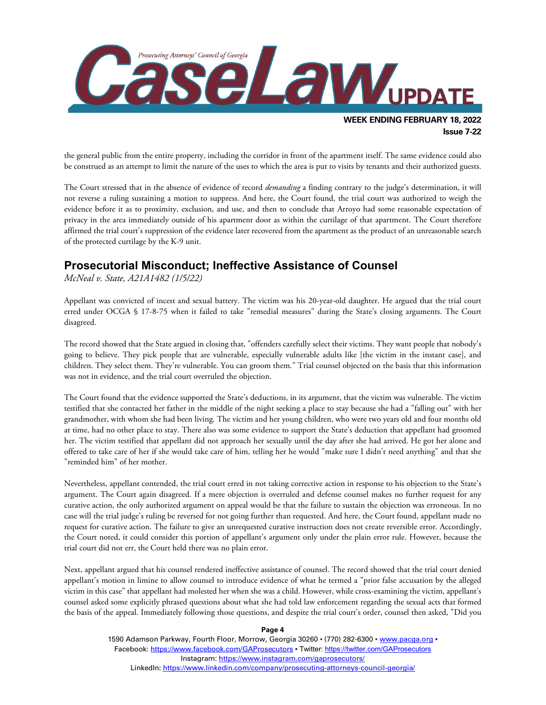

the general public from the entire property, including the corridor in front of the apartment itself. The same evidence could also be construed as an attempt to limit the nature of the uses to which the area is put to visits by tenants and their authorized guests.

The Court stressed that in the absence of evidence of record *demanding* a finding contrary to the judge's determination, it will not reverse a ruling sustaining a motion to suppress. And here, the Court found, the trial court was authorized to weigh the evidence before it as to proximity, exclusion, and use, and then to conclude that Arroyo had some reasonable expectation of privacy in the area immediately outside of his apartment door as within the curtilage of that apartment. The Court therefore affirmed the trial court's suppression of the evidence later recovered from the apartment as the product of an unreasonable search of the protected curtilage by the K-9 unit.

#### **Prosecutorial Misconduct; Ineffective Assistance of Counsel**

*McNeal v. State, A21A1482 (1/5/22)*

Appellant was convicted of incest and sexual battery. The victim was his 20-year-old daughter. He argued that the trial court erred under OCGA § 17-8-75 when it failed to take "remedial measures" during the State's closing arguments. The Court disagreed.

The record showed that the State argued in closing that, "offenders carefully select their victims. They want people that nobody's going to believe. They pick people that are vulnerable, especially vulnerable adults like [the victim in the instant case], and children. They select them. They're vulnerable. You can groom them." Trial counsel objected on the basis that this information was not in evidence, and the trial court overruled the objection.

The Court found that the evidence supported the State's deductions, in its argument, that the victim was vulnerable. The victim testified that she contacted her father in the middle of the night seeking a place to stay because she had a "falling out" with her grandmother, with whom she had been living. The victim and her young children, who were two years old and four months old at time, had no other place to stay. There also was some evidence to support the State's deduction that appellant had groomed her. The victim testified that appellant did not approach her sexually until the day after she had arrived. He got her alone and offered to take care of her if she would take care of him, telling her he would "make sure I didn't need anything" and that she "reminded him" of her mother.

Nevertheless, appellant contended, the trial court erred in not taking corrective action in response to his objection to the State's argument. The Court again disagreed. If a mere objection is overruled and defense counsel makes no further request for any curative action, the only authorized argument on appeal would be that the failure to sustain the objection was erroneous. In no case will the trial judge's ruling be reversed for not going further than requested. And here, the Court found, appellant made no request for curative action. The failure to give an unrequested curative instruction does not create reversible error. Accordingly, the Court noted, it could consider this portion of appellant's argument only under the plain error rule. However, because the trial court did not err, the Court held there was no plain error.

Next, appellant argued that his counsel rendered ineffective assistance of counsel. The record showed that the trial court denied appellant's motion in limine to allow counsel to introduce evidence of what he termed a "prior false accusation by the alleged victim in this case" that appellant had molested her when she was a child. However, while cross-examining the victim, appellant's counsel asked some explicitly phrased questions about what she had told law enforcement regarding the sexual acts that formed the basis of the appeal. Immediately following those questions, and despite the trial court's order, counsel then asked, "Did you

**Page 4**

1590 Adamson Parkway, Fourth Floor, Morrow, Georgia 30260 · (770) 282-6300 · [www.pacga.org](http://www.pacga.org/) · Facebook:<https://www.facebook.com/GAProsecutors> . Twitter[: https://twitter.com/GAProsecutors](https://twitter.com/GAProsecutors) Instagram[: https://www.instagram.com/gaprosecutors/](https://www.instagram.com/gaprosecutors/) LinkedIn:<https://www.linkedin.com/company/prosecuting-attorneys-council-georgia/>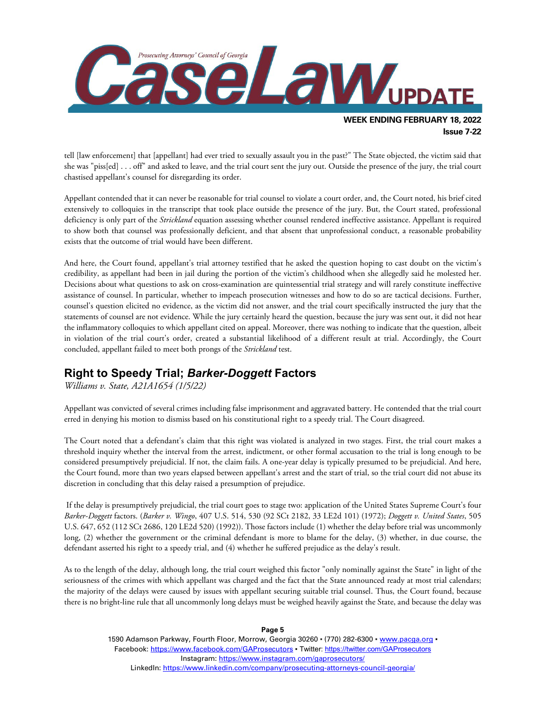

tell [law enforcement] that [appellant] had ever tried to sexually assault you in the past?" The State objected, the victim said that she was "piss[ed] . . . off" and asked to leave, and the trial court sent the jury out. Outside the presence of the jury, the trial court chastised appellant's counsel for disregarding its order.

Appellant contended that it can never be reasonable for trial counsel to violate a court order, and, the Court noted, his brief cited extensively to colloquies in the transcript that took place outside the presence of the jury. But, the Court stated, professional deficiency is only part of the *Strickland* equation assessing whether counsel rendered ineffective assistance. Appellant is required to show both that counsel was professionally deficient, and that absent that unprofessional conduct, a reasonable probability exists that the outcome of trial would have been different.

And here, the Court found, appellant's trial attorney testified that he asked the question hoping to cast doubt on the victim's credibility, as appellant had been in jail during the portion of the victim's childhood when she allegedly said he molested her. Decisions about what questions to ask on cross-examination are quintessential trial strategy and will rarely constitute ineffective assistance of counsel. In particular, whether to impeach prosecution witnesses and how to do so are tactical decisions. Further, counsel's question elicited no evidence, as the victim did not answer, and the trial court specifically instructed the jury that the statements of counsel are not evidence. While the jury certainly heard the question, because the jury was sent out, it did not hear the inflammatory colloquies to which appellant cited on appeal. Moreover, there was nothing to indicate that the question, albeit in violation of the trial court's order, created a substantial likelihood of a different result at trial. Accordingly, the Court concluded, appellant failed to meet both prongs of the *Strickland* test.

## **Right to Speedy Trial;** *Barker-Doggett* **Factors**

*Williams v. State, A21A1654 (1/5/22)*

Appellant was convicted of several crimes including false imprisonment and aggravated battery. He contended that the trial court erred in denying his motion to dismiss based on his constitutional right to a speedy trial. The Court disagreed.

The Court noted that a defendant's claim that this right was violated is analyzed in two stages. First, the trial court makes a threshold inquiry whether the interval from the arrest, indictment, or other formal accusation to the trial is long enough to be considered presumptively prejudicial. If not, the claim fails. A one-year delay is typically presumed to be prejudicial. And here, the Court found, more than two years elapsed between appellant's arrest and the start of trial, so the trial court did not abuse its discretion in concluding that this delay raised a presumption of prejudice.

If the delay is presumptively prejudicial, the trial court goes to stage two: application of the United States Supreme Court's four *Barker-Doggett* factors. (*Barker v. Wingo*, 407 U.S. 514, 530 (92 SCt 2182, 33 LE2d 101) (1972); *Doggett v. United States*, 505 U.S. 647, 652 (112 SCt 2686, 120 LE2d 520) (1992)). Those factors include (1) whether the delay before trial was uncommonly long, (2) whether the government or the criminal defendant is more to blame for the delay, (3) whether, in due course, the defendant asserted his right to a speedy trial, and (4) whether he suffered prejudice as the delay's result.

As to the length of the delay, although long, the trial court weighed this factor "only nominally against the State" in light of the seriousness of the crimes with which appellant was charged and the fact that the State announced ready at most trial calendars; the majority of the delays were caused by issues with appellant securing suitable trial counsel. Thus, the Court found, because there is no bright-line rule that all uncommonly long delays must be weighed heavily against the State, and because the delay was

**Page 5**